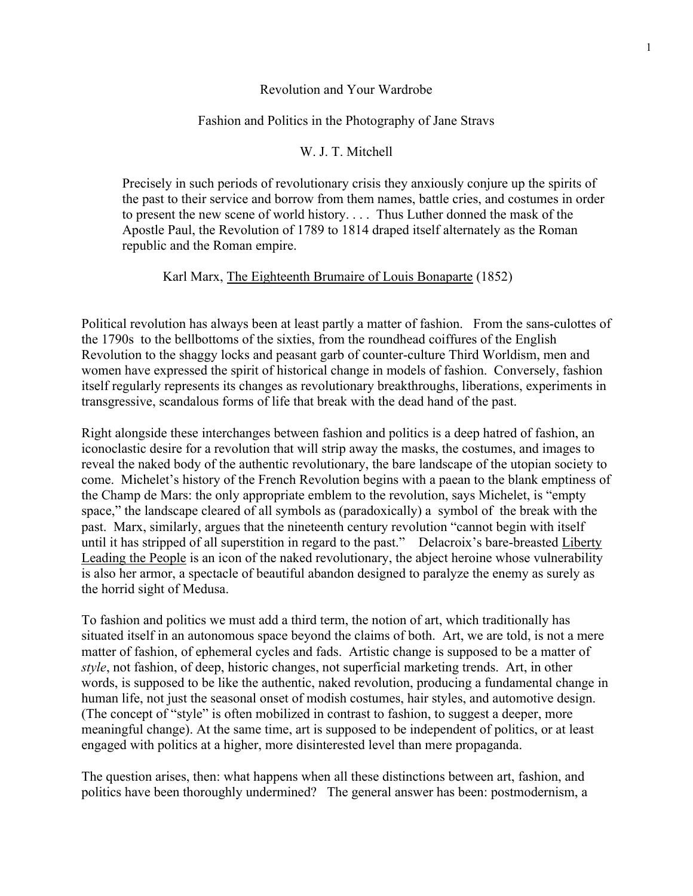## Revolution and Your Wardrobe

## Fashion and Politics in the Photography of Jane Stravs

## W. J. T. Mitchell

Precisely in such periods of revolutionary crisis they anxiously conjure up the spirits of the past to their service and borrow from them names, battle cries, and costumes in order to present the new scene of world history. . . . Thus Luther donned the mask of the Apostle Paul, the Revolution of 1789 to 1814 draped itself alternately as the Roman republic and the Roman empire.

## Karl Marx, The Eighteenth Brumaire of Louis Bonaparte (1852)

Political revolution has always been at least partly a matter of fashion. From the sans-culottes of the 1790s to the bellbottoms of the sixties, from the roundhead coiffures of the English Revolution to the shaggy locks and peasant garb of counter-culture Third Worldism, men and women have expressed the spirit of historical change in models of fashion. Conversely, fashion itself regularly represents its changes as revolutionary breakthroughs, liberations, experiments in transgressive, scandalous forms of life that break with the dead hand of the past.

Right alongside these interchanges between fashion and politics is a deep hatred of fashion, an iconoclastic desire for a revolution that will strip away the masks, the costumes, and images to reveal the naked body of the authentic revolutionary, the bare landscape of the utopian society to come. Michelet's history of the French Revolution begins with a paean to the blank emptiness of the Champ de Mars: the only appropriate emblem to the revolution, says Michelet, is "empty space," the landscape cleared of all symbols as (paradoxically) a symbol of the break with the past. Marx, similarly, argues that the nineteenth century revolution "cannot begin with itself until it has stripped of all superstition in regard to the past." Delacroix's bare-breasted Liberty Leading the People is an icon of the naked revolutionary, the abject heroine whose vulnerability is also her armor, a spectacle of beautiful abandon designed to paralyze the enemy as surely as the horrid sight of Medusa.

To fashion and politics we must add a third term, the notion of art, which traditionally has situated itself in an autonomous space beyond the claims of both. Art, we are told, is not a mere matter of fashion, of ephemeral cycles and fads. Artistic change is supposed to be a matter of *style*, not fashion, of deep, historic changes, not superficial marketing trends. Art, in other words, is supposed to be like the authentic, naked revolution, producing a fundamental change in human life, not just the seasonal onset of modish costumes, hair styles, and automotive design. (The concept of "style" is often mobilized in contrast to fashion, to suggest a deeper, more meaningful change). At the same time, art is supposed to be independent of politics, or at least engaged with politics at a higher, more disinterested level than mere propaganda.

The question arises, then: what happens when all these distinctions between art, fashion, and politics have been thoroughly undermined? The general answer has been: postmodernism, a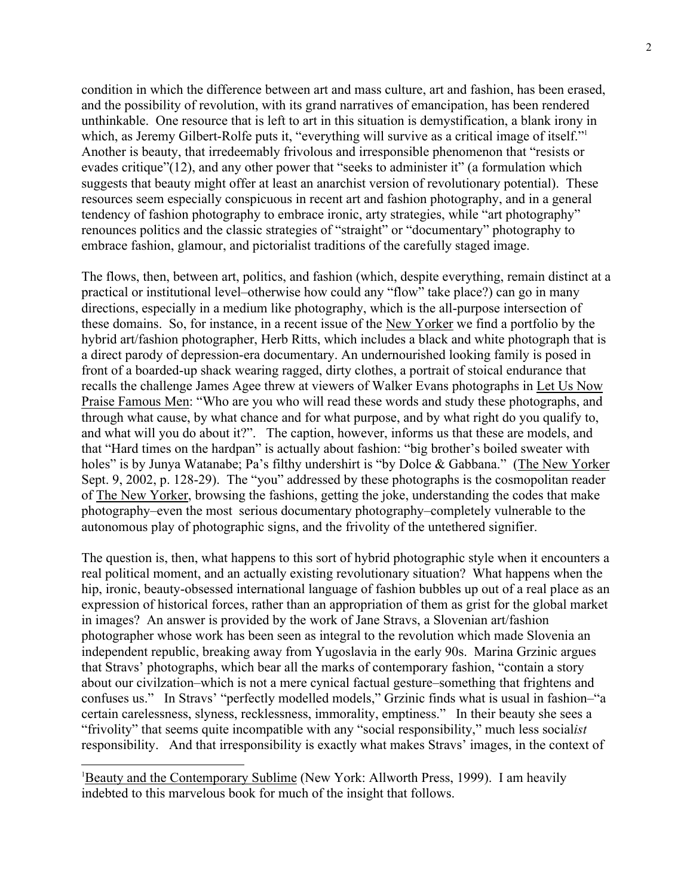condition in which the difference between art and mass culture, art and fashion, has been erased, and the possibility of revolution, with its grand narratives of emancipation, has been rendered unthinkable. One resource that is left to art in this situation is demystification, a blank irony in which, as Jeremy Gilbert-Rolfe puts it, "everything will survive as a critical image of itself."<sup>1</sup> Another is beauty, that irredeemably frivolous and irresponsible phenomenon that "resists or evades critique"(12), and any other power that "seeks to administer it" (a formulation which suggests that beauty might offer at least an anarchist version of revolutionary potential). These resources seem especially conspicuous in recent art and fashion photography, and in a general tendency of fashion photography to embrace ironic, arty strategies, while "art photography" renounces politics and the classic strategies of "straight" or "documentary" photography to embrace fashion, glamour, and pictorialist traditions of the carefully staged image.

The flows, then, between art, politics, and fashion (which, despite everything, remain distinct at a practical or institutional level–otherwise how could any "flow" take place?) can go in many directions, especially in a medium like photography, which is the all-purpose intersection of these domains. So, for instance, in a recent issue of the New Yorker we find a portfolio by the hybrid art/fashion photographer, Herb Ritts, which includes a black and white photograph that is a direct parody of depression-era documentary. An undernourished looking family is posed in front of a boarded-up shack wearing ragged, dirty clothes, a portrait of stoical endurance that recalls the challenge James Agee threw at viewers of Walker Evans photographs in Let Us Now Praise Famous Men: "Who are you who will read these words and study these photographs, and through what cause, by what chance and for what purpose, and by what right do you qualify to, and what will you do about it?". The caption, however, informs us that these are models, and that "Hard times on the hardpan" is actually about fashion: "big brother's boiled sweater with holes" is by Junya Watanabe; Pa's filthy undershirt is "by Dolce & Gabbana." (The New Yorker Sept. 9, 2002, p. 128-29). The "you" addressed by these photographs is the cosmopolitan reader of The New Yorker, browsing the fashions, getting the joke, understanding the codes that make photography–even the most serious documentary photography–completely vulnerable to the autonomous play of photographic signs, and the frivolity of the untethered signifier.

The question is, then, what happens to this sort of hybrid photographic style when it encounters a real political moment, and an actually existing revolutionary situation? What happens when the hip, ironic, beauty-obsessed international language of fashion bubbles up out of a real place as an expression of historical forces, rather than an appropriation of them as grist for the global market in images? An answer is provided by the work of Jane Stravs, a Slovenian art/fashion photographer whose work has been seen as integral to the revolution which made Slovenia an independent republic, breaking away from Yugoslavia in the early 90s. Marina Grzinic argues that Stravs' photographs, which bear all the marks of contemporary fashion, "contain a story about our civilzation–which is not a mere cynical factual gesture–something that frightens and confuses us." In Stravs' "perfectly modelled models," Grzinic finds what is usual in fashion–"a certain carelessness, slyness, recklessness, immorality, emptiness." In their beauty she sees a "frivolity" that seems quite incompatible with any "social responsibility," much less social*ist* responsibility. And that irresponsibility is exactly what makes Stravs' images, in the context of

<sup>|&</sup>lt;br>|<br>| <sup>1</sup>Beauty and the Contemporary Sublime (New York: Allworth Press, 1999). I am heavily indebted to this marvelous book for much of the insight that follows.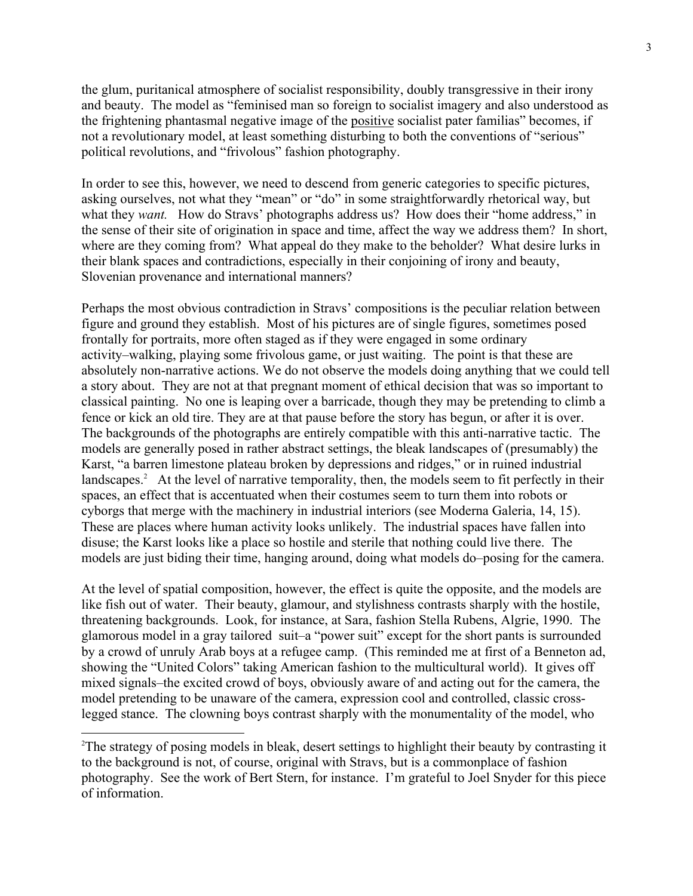the glum, puritanical atmosphere of socialist responsibility, doubly transgressive in their irony and beauty. The model as "feminised man so foreign to socialist imagery and also understood as the frightening phantasmal negative image of the positive socialist pater familias" becomes, if not a revolutionary model, at least something disturbing to both the conventions of "serious" political revolutions, and "frivolous" fashion photography.

In order to see this, however, we need to descend from generic categories to specific pictures, asking ourselves, not what they "mean" or "do" in some straightforwardly rhetorical way, but what they *want*. How do Stravs' photographs address us? How does their "home address," in the sense of their site of origination in space and time, affect the way we address them? In short, where are they coming from? What appeal do they make to the beholder? What desire lurks in their blank spaces and contradictions, especially in their conjoining of irony and beauty, Slovenian provenance and international manners?

Perhaps the most obvious contradiction in Stravs' compositions is the peculiar relation between figure and ground they establish. Most of his pictures are of single figures, sometimes posed frontally for portraits, more often staged as if they were engaged in some ordinary activity–walking, playing some frivolous game, or just waiting. The point is that these are absolutely non-narrative actions. We do not observe the models doing anything that we could tell a story about. They are not at that pregnant moment of ethical decision that was so important to classical painting. No one is leaping over a barricade, though they may be pretending to climb a fence or kick an old tire. They are at that pause before the story has begun, or after it is over. The backgrounds of the photographs are entirely compatible with this anti-narrative tactic. The models are generally posed in rather abstract settings, the bleak landscapes of (presumably) the Karst, "a barren limestone plateau broken by depressions and ridges," or in ruined industrial landscapes.<sup>2</sup> At the level of narrative temporality, then, the models seem to fit perfectly in their spaces, an effect that is accentuated when their costumes seem to turn them into robots or cyborgs that merge with the machinery in industrial interiors (see Moderna Galeria, 14, 15). These are places where human activity looks unlikely. The industrial spaces have fallen into disuse; the Karst looks like a place so hostile and sterile that nothing could live there. The models are just biding their time, hanging around, doing what models do–posing for the camera.

At the level of spatial composition, however, the effect is quite the opposite, and the models are like fish out of water. Their beauty, glamour, and stylishness contrasts sharply with the hostile, threatening backgrounds. Look, for instance, at Sara, fashion Stella Rubens, Algrie, 1990. The glamorous model in a gray tailored suit–a "power suit" except for the short pants is surrounded by a crowd of unruly Arab boys at a refugee camp. (This reminded me at first of a Benneton ad, showing the "United Colors" taking American fashion to the multicultural world). It gives off mixed signals–the excited crowd of boys, obviously aware of and acting out for the camera, the model pretending to be unaware of the camera, expression cool and controlled, classic crosslegged stance. The clowning boys contrast sharply with the monumentality of the model, who

 $\overline{2}$ <sup>2</sup>The strategy of posing models in bleak, desert settings to highlight their beauty by contrasting it to the background is not, of course, original with Stravs, but is a commonplace of fashion photography. See the work of Bert Stern, for instance. I'm grateful to Joel Snyder for this piece of information.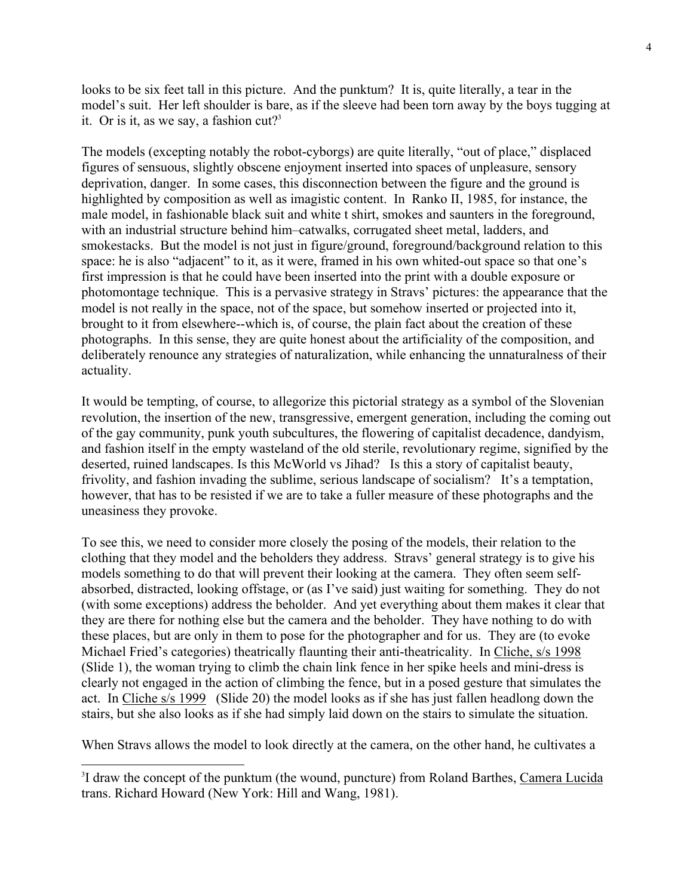looks to be six feet tall in this picture. And the punktum? It is, quite literally, a tear in the model's suit. Her left shoulder is bare, as if the sleeve had been torn away by the boys tugging at it. Or is it, as we say, a fashion  $cut?$ <sup>3</sup>

The models (excepting notably the robot-cyborgs) are quite literally, "out of place," displaced figures of sensuous, slightly obscene enjoyment inserted into spaces of unpleasure, sensory deprivation, danger. In some cases, this disconnection between the figure and the ground is highlighted by composition as well as imagistic content. In Ranko II, 1985, for instance, the male model, in fashionable black suit and white t shirt, smokes and saunters in the foreground, with an industrial structure behind him–catwalks, corrugated sheet metal, ladders, and smokestacks. But the model is not just in figure/ground, foreground/background relation to this space: he is also "adjacent" to it, as it were, framed in his own whited-out space so that one's first impression is that he could have been inserted into the print with a double exposure or photomontage technique. This is a pervasive strategy in Stravs' pictures: the appearance that the model is not really in the space, not of the space, but somehow inserted or projected into it, brought to it from elsewhere--which is, of course, the plain fact about the creation of these photographs. In this sense, they are quite honest about the artificiality of the composition, and deliberately renounce any strategies of naturalization, while enhancing the unnaturalness of their actuality.

It would be tempting, of course, to allegorize this pictorial strategy as a symbol of the Slovenian revolution, the insertion of the new, transgressive, emergent generation, including the coming out of the gay community, punk youth subcultures, the flowering of capitalist decadence, dandyism, and fashion itself in the empty wasteland of the old sterile, revolutionary regime, signified by the deserted, ruined landscapes. Is this McWorld vs Jihad? Is this a story of capitalist beauty, frivolity, and fashion invading the sublime, serious landscape of socialism? It's a temptation, however, that has to be resisted if we are to take a fuller measure of these photographs and the uneasiness they provoke.

To see this, we need to consider more closely the posing of the models, their relation to the clothing that they model and the beholders they address. Stravs' general strategy is to give his models something to do that will prevent their looking at the camera. They often seem selfabsorbed, distracted, looking offstage, or (as I've said) just waiting for something. They do not (with some exceptions) address the beholder. And yet everything about them makes it clear that they are there for nothing else but the camera and the beholder. They have nothing to do with these places, but are only in them to pose for the photographer and for us. They are (to evoke Michael Fried's categories) theatrically flaunting their anti-theatricality. In Cliche, s/s 1998 (Slide 1), the woman trying to climb the chain link fence in her spike heels and mini-dress is clearly not engaged in the action of climbing the fence, but in a posed gesture that simulates the act. In Cliche s/s 1999 (Slide 20) the model looks as if she has just fallen headlong down the stairs, but she also looks as if she had simply laid down on the stairs to simulate the situation.

When Stravs allows the model to look directly at the camera, on the other hand, he cultivates a

 <sup>3</sup> <sup>3</sup>I draw the concept of the punktum (the wound, puncture) from Roland Barthes, Camera Lucida trans. Richard Howard (New York: Hill and Wang, 1981).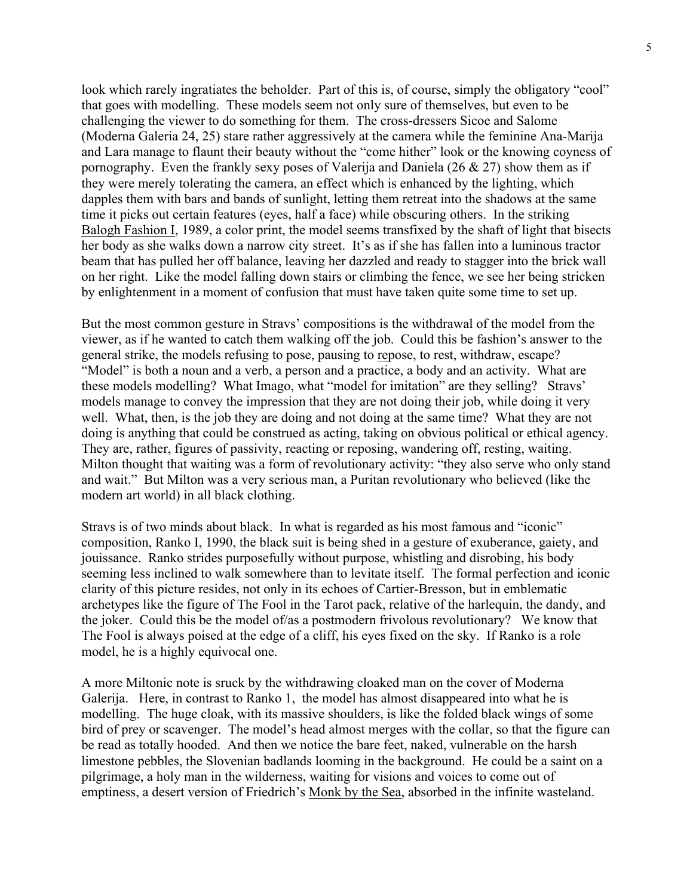look which rarely ingratiates the beholder. Part of this is, of course, simply the obligatory "cool" that goes with modelling. These models seem not only sure of themselves, but even to be challenging the viewer to do something for them. The cross-dressers Sicoe and Salome (Moderna Galeria 24, 25) stare rather aggressively at the camera while the feminine Ana-Marija and Lara manage to flaunt their beauty without the "come hither" look or the knowing coyness of pornography. Even the frankly sexy poses of Valerija and Daniela (26 & 27) show them as if they were merely tolerating the camera, an effect which is enhanced by the lighting, which dapples them with bars and bands of sunlight, letting them retreat into the shadows at the same time it picks out certain features (eyes, half a face) while obscuring others. In the striking Balogh Fashion I, 1989, a color print, the model seems transfixed by the shaft of light that bisects her body as she walks down a narrow city street. It's as if she has fallen into a luminous tractor beam that has pulled her off balance, leaving her dazzled and ready to stagger into the brick wall on her right. Like the model falling down stairs or climbing the fence, we see her being stricken by enlightenment in a moment of confusion that must have taken quite some time to set up.

But the most common gesture in Stravs' compositions is the withdrawal of the model from the viewer, as if he wanted to catch them walking off the job. Could this be fashion's answer to the general strike, the models refusing to pose, pausing to repose, to rest, withdraw, escape? "Model" is both a noun and a verb, a person and a practice, a body and an activity. What are these models modelling? What Imago, what "model for imitation" are they selling? Stravs' models manage to convey the impression that they are not doing their job, while doing it very well. What, then, is the job they are doing and not doing at the same time? What they are not doing is anything that could be construed as acting, taking on obvious political or ethical agency. They are, rather, figures of passivity, reacting or reposing, wandering off, resting, waiting. Milton thought that waiting was a form of revolutionary activity: "they also serve who only stand and wait." But Milton was a very serious man, a Puritan revolutionary who believed (like the modern art world) in all black clothing.

Stravs is of two minds about black. In what is regarded as his most famous and "iconic" composition, Ranko I, 1990, the black suit is being shed in a gesture of exuberance, gaiety, and jouissance. Ranko strides purposefully without purpose, whistling and disrobing, his body seeming less inclined to walk somewhere than to levitate itself. The formal perfection and iconic clarity of this picture resides, not only in its echoes of Cartier-Bresson, but in emblematic archetypes like the figure of The Fool in the Tarot pack, relative of the harlequin, the dandy, and the joker. Could this be the model of/as a postmodern frivolous revolutionary? We know that The Fool is always poised at the edge of a cliff, his eyes fixed on the sky. If Ranko is a role model, he is a highly equivocal one.

A more Miltonic note is sruck by the withdrawing cloaked man on the cover of Moderna Galerija. Here, in contrast to Ranko 1, the model has almost disappeared into what he is modelling. The huge cloak, with its massive shoulders, is like the folded black wings of some bird of prey or scavenger. The model's head almost merges with the collar, so that the figure can be read as totally hooded. And then we notice the bare feet, naked, vulnerable on the harsh limestone pebbles, the Slovenian badlands looming in the background. He could be a saint on a pilgrimage, a holy man in the wilderness, waiting for visions and voices to come out of emptiness, a desert version of Friedrich's Monk by the Sea, absorbed in the infinite wasteland.